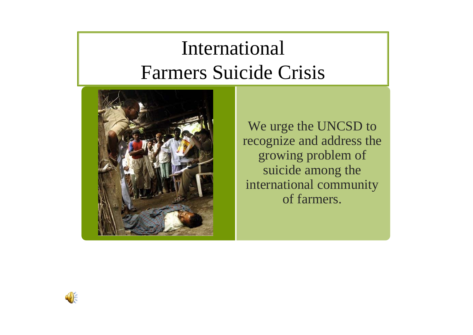# International Farmers Suicide Crisis



We urge the UNCSD to recognize and address the growing problem of suicide among the international community of farmers.

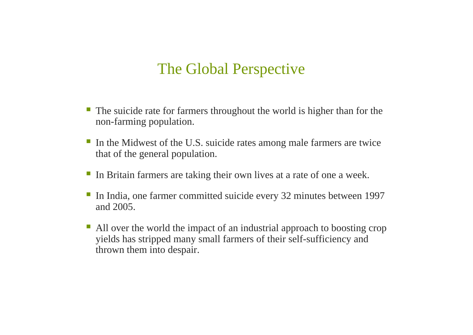### The Global Perspective

- The suicide rate for farmers throughout the world is higher than for the non-farming population.
- In the Midwest of the U.S. suicide rates among male farmers are twice that of the general population.
- In Britain farmers are taking their own lives at a rate of one a week.
- In India, one farmer committed suicide every 32 minutes between 1997 and 2005.
- All over the world the impact of an industrial approach to boosting crop yields has stripped many small farmers of their self-sufficiency and thrown them into despair.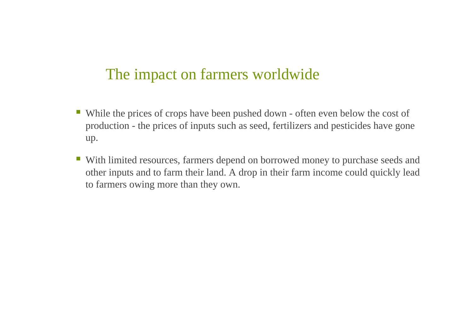### The impact on farmers worldwide

- While the prices of crops have been pushed down often even below the cost of production - the prices of inputs such as seed, fertilizers and pesticides have gone up.
- With limited resources, farmers depend on borrowed money to purchase seeds and other inputs and to farm their land. A drop in their farm income could quickly lead to farmers owing more than they own.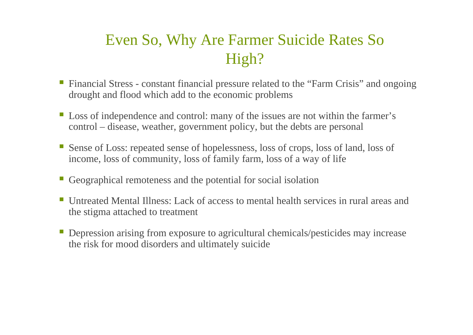### Even So, Why Are Farmer Suicide Rates So High?

- Financial Stress constant financial pressure related to the "Farm Crisis" and ongoing drought and flood which add to the economic problems
- **Loss of independence and control: many of the issues are not within the farmer's** control – disease, weather, government policy, but the debts are personal
- Sense of Loss: repeated sense of hopelessness, loss of crops, loss of land, loss of income, loss of community, loss of family farm, loss of a way of life
- Geographical remoteness and the potential for social isolation
- Untreated Mental Illness: Lack of access to mental health services in rural areas and the stigma attached to treatment
- Depression arising from exposure to agricultural chemicals/pesticides may increase the risk for mood disorders and ultimately suicide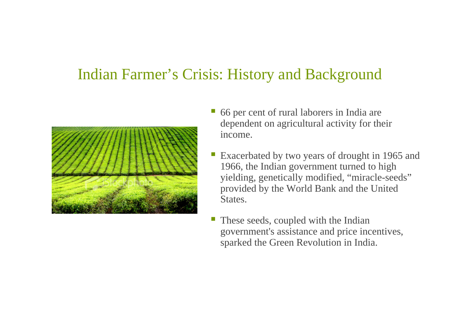#### Indian Farmer's Crisis: History and Background



- 66 per cent of rural laborers in India are dependent on agricultural activity for their income.
- Exacerbated by two years of drought in 1965 and 1966, the Indian government turned to high yielding, genetically modified, "miracle-seeds" provided by the World Bank and the United States.
- These seeds, coupled with the Indian governmen<sup>t</sup>'s assistance and price incentives, sparked the Green Revolution in India.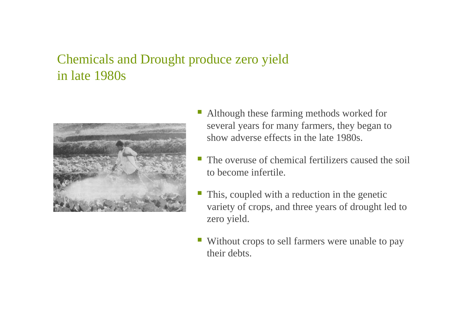#### Chemicals and Drought produce zero yield in late 1980s



- Although these farming methods worked for several years for many farmers, they began to show adverse effects in the late 1980s.
- The overuse of chemical fertilizers caused the soil to become infertile.
- This, coupled with a reduction in the genetic variety of crops, and three years of drought led to zero yield.
- Without crops to sell farmers were unable to pay their debts.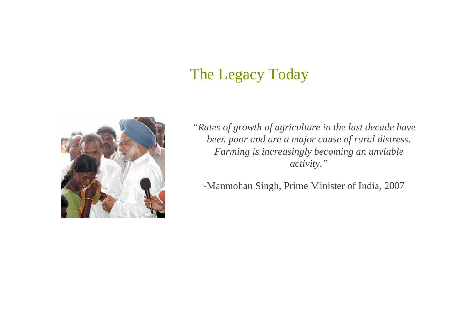### The Legacy Today



*"Rates of growth of agriculture in the last decade have been poor and are a major cause of rural distress. Farming is increasingly becoming an unviable activity."*

-Manmohan Singh, Prime Minister of India, 2007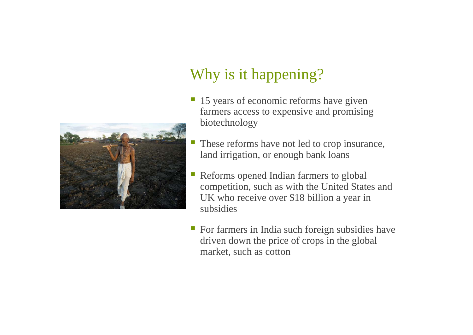

## Why is it happening?

- 15 years of economic reforms have given farmers access to expensive and promising biotechnology
- These reforms have not led to crop insurance, land irrigation, or enough bank loans
- $\mathcal{L}_{\mathrm{max}}$  Reforms opened Indian farmers to global competition, such as with the United States and UK who receive over \$18 billion a year in subsidies
- **For farmers in India such foreign subsidies have** driven down the price of crops in the global market, such as cotton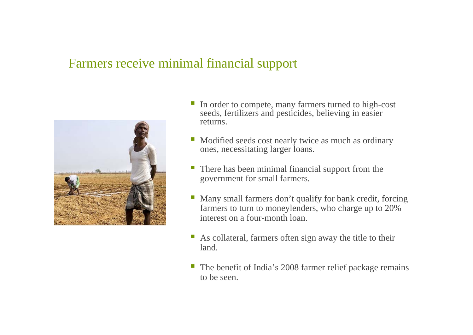#### Farmers receive minimal financial support



- In order to compete, many farmers turned to high-cost seeds, fertilizers and pesticides, believing in easier returns.
- Modified seeds cost nearly twice as much as ordinary ones, necessitating larger loans.
- There has been minimal financial support from the government for small farmers.
- Many small farmers don't qualify for bank credit, forcing farmers to turn to moneylenders, who charge up to 20% interest on a four-month loan.
- As collateral, farmers often sign away the title to their land.
- The benefit of India's 2008 farmer relief package remains to be seen.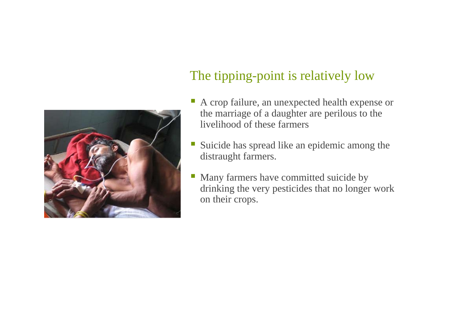

#### The tipping-point is relatively low

- A crop failure, an unexpected health expense or the marriage of a daughter are perilous to the livelihood of these farmers
- Suicide has spread like an epidemic among the distraught farmers.
- Many farmers have committed suicide by drinking the very pesticides that no longer work on their crops.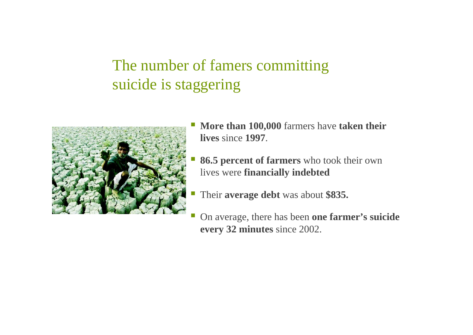### The number of famers committing suicide is staggering



- $\mathbb{R}^3$  **More than 100,000** farmers have **taken their lives** since **1997**.
- **86.5 percent of farmers** who took their own lives were **financially indebted**
- Their **average debt** was about **\$835.**
- On average, there has been **one farmer's suicide every 32 minutes** since 2002.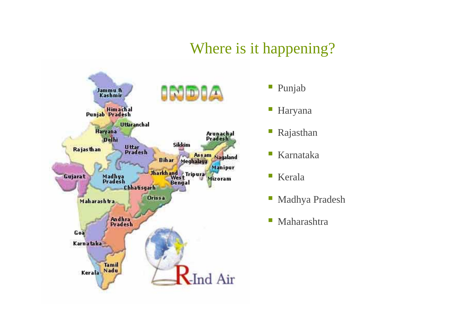### Where is it happening?



- $\mathbb{R}^3$ Punjab
- $\Box$ Haryana
- ш Rajasthan
- $\overline{\phantom{a}}$ Karnataka
- $\mathbb{R}^n$ Kerala
- $\mathbb{R}^2$ Madhya Pradesh
- $\Box$ Maharashtra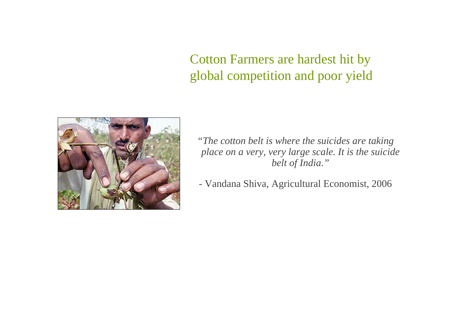Cotton Farmers are hardest hit by global competition and poor yield



*"The cotton belt is where the suicides are taking place on a very, very large scale. It is the suicide belt of India."*

- Vandana Shiva, Agricultural Economist, 2006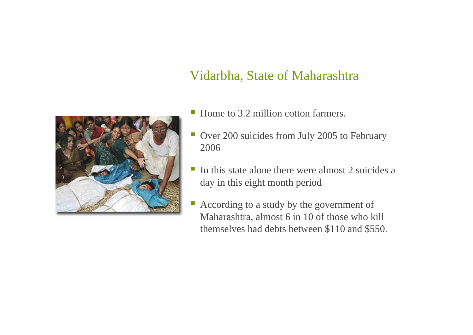#### Vidarbha, State of Maharashtra



- Home to 3.2 million cotton farmers.
- Ш Over 200 suicides from July 2005 to February 2006
- In this state alone there were almost 2 suicides a day in this eight month period
- According to a study by the government of Maharashtra, almost 6 in 10 of those who kill themselves had debts between \$110 and \$550.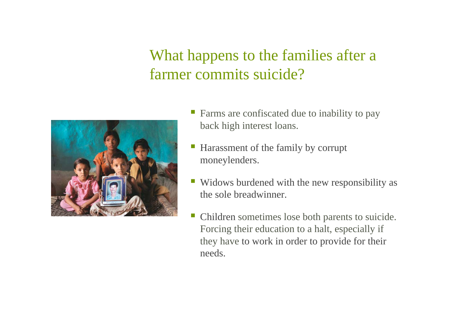### What happens to the families after a farmer commits suicide?



- Farms are confiscated due to inability to pay back high interest loans.
- Harassment of the family by corrupt moneylenders.
- Widows burdened with the new responsibility as the sole breadwinner.
- Children sometimes lose both parents to suicide. Forcing their education to a halt, especially if they have to work in order to provide for their needs.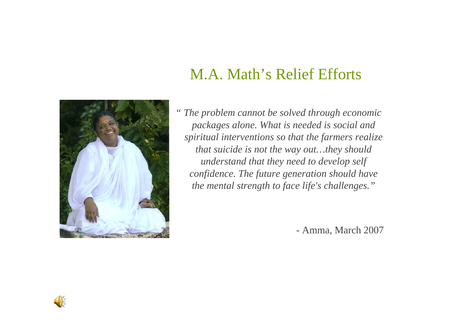### M.A. Math's Relief Efforts



*" The problem cannot be solved through economic packages alone. What is needed is social and spiritual interventions so that the farmers realize that suicide is not the way out…they should understand that they need to develop self confidence. The future generation should have the mental strength to face life's challenges."*

- Amma, March 2007

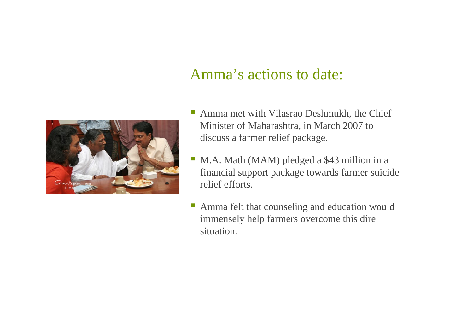#### Amma's actions to date:



- Amma met with Vilasrao Deshmukh, the Chief Minister of Maharashtra, in March 2007 to discuss a farmer relief package.
- $\mathcal{L}_{\mathcal{A}}$  M.A. Math (MAM) pledged a \$43 million in a financial support package towards farmer suicide relief efforts.
- Amma felt that counseling and education would immensely help farmers overcome this dire situation.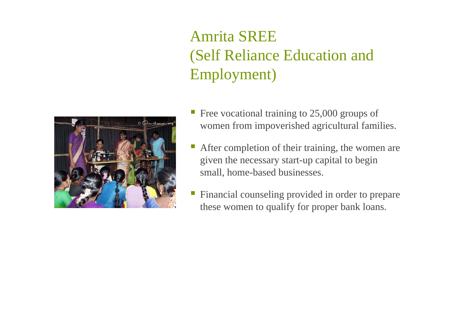### Amrita SREE (Self Reliance Education and Employment)



- Free vocational training to 25,000 groups of women from impoverished agricultural families.
- After completion of their training, the women are given the necessary start-up capital to begin small, home-based businesses.
- Financial counseling provided in order to prepare these women to qualify for proper bank loans.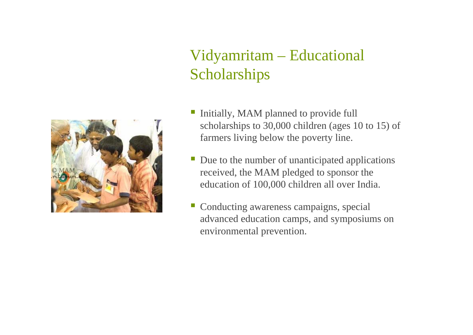## Vidyamritam – Educational **Scholarships**



- Initially, MAM planned to provide full scholarships to 30,000 children (ages 10 to 15) of farmers living below the poverty line.
- Due to the number of unanticipated applications received, the MAM pledged to sponsor the education of 100,000 children all over India.
- Conducting awareness campaigns, special advanced education camps, and symposiums on environmental prevention.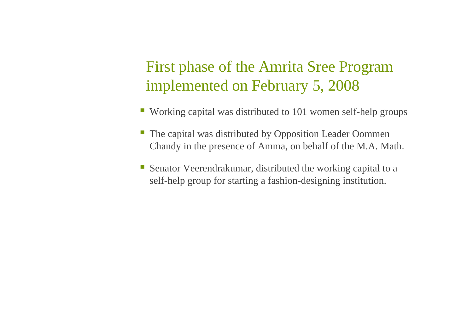### First phase of the Amrita Sree Program implemented on February 5, 2008

- Working capital was distributed to 101 women self-help groups
- The capital was distributed by Opposition Leader Oommen Chandy in the presence of Amma, on behalf of the M.A. Math.
- Senator Veerendrakumar, distributed the working capital to a self-help group for starting a fashion-designing institution.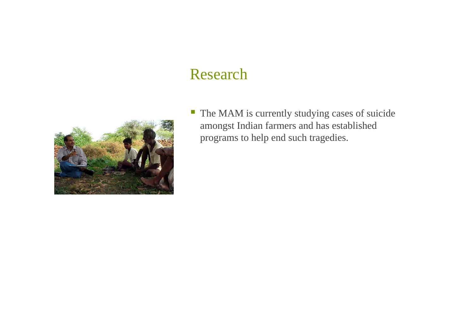#### Research



 $\mathbb{Z}$  The MAM is currently studying cases of suicide amongst Indian farmers and has established programs to help end such tragedies.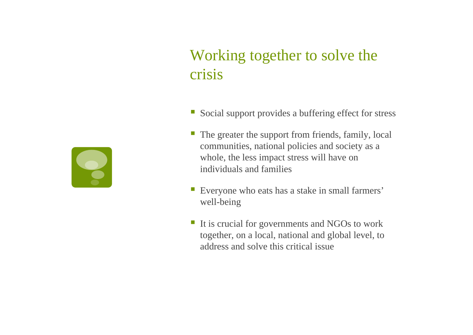### Working together to solve the crisis

- Social support provides a buffering effect for stress
- **The greater the support from friends, family, local** communities, national policies and society as a whole, the less impact stress will have on individuals and families
- Everyone who eats has a stake in small farmers' well-being
- If is crucial for governments and NGOs to work together, on a local, national and global level, to address and solve this critical issue

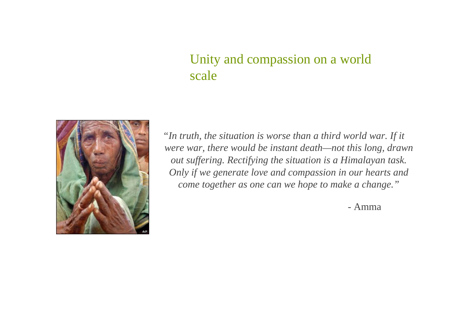#### Unity and compassion on a world scale



*"In truth, the situation is worse than a third world war. If it were war, there would be instant death—not this long, drawn out suffering. Rectifying the situation is a Himalayan task. Only if we generate love and compassion in our hearts and come together as one can we hope to make a change."*

- Amma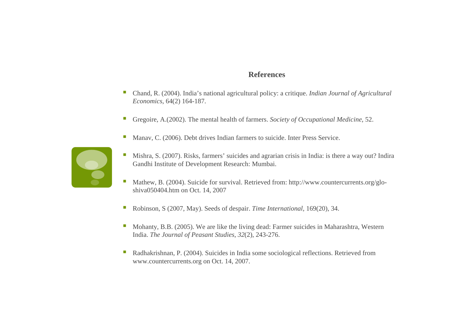#### **References**

- $\overline{\mathbb{R}}$  Chand, R. (2004). India's national agricultural policy: a critique. *Indian Journal of Agricultural Economics*, 64(2) 164-187.
- $\overline{\phantom{a}}$ Gregoire, A.(2002). The mental health of farmers. *Society of Occupational Medicine*, 52.
- T. Manav, C. (2006). Debt drives Indian farmers to suicide. Inter Press Service.



- T. Mishra, S. (2007). Risks, farmers' suicides and agrarian crisis in India: is there a way out? Indira Gandhi Institute of Development Research: Mumbai.
- T. Mathew, B. (2004). Suicide for survival. Retrieved from: http://www.countercurrents.org/gloshiva050404.htm on Oct. 14, 2007
- T, Robinson, S (2007, May). Seeds of despair. *Time International,* 169(20), 34.
- T. Mohanty, B.B. (2005). We are like the living dead: Farmer suicides in Maharashtra, Western India. *The Journal of Peasant Studies*, *32*(2), 243-276.
- $\mathcal{C}$  Radhakrishnan, P. (2004). Suicides in India some sociological reflections. Retrieved from www.countercurrents.org on Oct. 14, 2007.